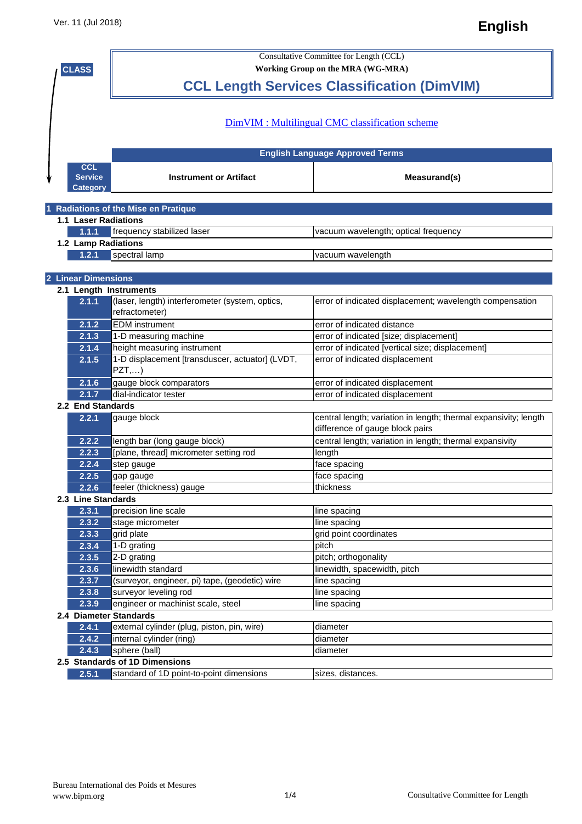| <b>CLASS</b> |                             | <b>Consultative Committee for Length (CCL)</b><br>Working Group on the MRA (WG-MRA) |                                                                  |  |  |
|--------------|-----------------------------|-------------------------------------------------------------------------------------|------------------------------------------------------------------|--|--|
|              |                             |                                                                                     |                                                                  |  |  |
|              |                             |                                                                                     |                                                                  |  |  |
|              |                             |                                                                                     |                                                                  |  |  |
|              |                             |                                                                                     |                                                                  |  |  |
|              |                             |                                                                                     | DimVIM : Multilingual CMC classification scheme                  |  |  |
|              |                             |                                                                                     |                                                                  |  |  |
|              |                             |                                                                                     | <b>English Language Approved Terms</b>                           |  |  |
|              | <b>CCL</b>                  |                                                                                     |                                                                  |  |  |
|              | <b>Service</b>              | <b>Instrument or Artifact</b>                                                       | Measurand(s)                                                     |  |  |
|              | <b>Category</b>             |                                                                                     |                                                                  |  |  |
|              |                             |                                                                                     |                                                                  |  |  |
|              |                             | 1 Radiations of the Mise en Pratique                                                |                                                                  |  |  |
|              | <b>1.1 Laser Radiations</b> |                                                                                     |                                                                  |  |  |
|              | 1.1.1                       | frequency stabilized laser                                                          | vacuum wavelength; optical frequency                             |  |  |
|              | 1.2 Lamp Radiations         |                                                                                     |                                                                  |  |  |
|              | 1.2.1                       | spectral lamp                                                                       | vacuum wavelength                                                |  |  |
|              |                             |                                                                                     |                                                                  |  |  |
|              | 2 Linear Dimensions         |                                                                                     |                                                                  |  |  |
|              |                             | 2.1 Length Instruments                                                              |                                                                  |  |  |
|              | 2.1.1                       | (laser, length) interferometer (system, optics,                                     | error of indicated displacement; wavelength compensation         |  |  |
|              |                             | refractometer)                                                                      |                                                                  |  |  |
|              | 2.1.2                       | <b>EDM</b> instrument                                                               | error of indicated distance                                      |  |  |
|              | 2.1.3                       | 1-D measuring machine                                                               | error of indicated [size; displacement]                          |  |  |
|              | 2.1.4                       | height measuring instrument                                                         | error of indicated [vertical size; displacement]                 |  |  |
|              | 2.1.5                       | 1-D displacement [transduscer, actuator] (LVDT,                                     | error of indicated displacement                                  |  |  |
|              |                             | PZT,)                                                                               |                                                                  |  |  |
|              | 2.1.6                       | gauge block comparators                                                             | error of indicated displacement                                  |  |  |
|              | 2.1.7                       | dial-indicator tester                                                               | error of indicated displacement                                  |  |  |
|              | 2.2 End Standards           |                                                                                     |                                                                  |  |  |
|              | 2.2.1                       | gauge block                                                                         | central length; variation in length; thermal expansivity; length |  |  |
|              |                             |                                                                                     | difference of gauge block pairs                                  |  |  |
|              | 2.2.2                       | length bar (long gauge block)                                                       | central length; variation in length; thermal expansivity         |  |  |
|              | 2.2.3                       | [plane, thread] micrometer setting rod                                              | length                                                           |  |  |
|              | 2.2.4                       |                                                                                     |                                                                  |  |  |
|              |                             | step gauge                                                                          | face spacing                                                     |  |  |
|              | 2.2.5                       | gap gauge                                                                           | face spacing<br>thickness                                        |  |  |
|              | 2.2.6                       | feeler (thickness) gauge                                                            |                                                                  |  |  |
|              | 2.3 Line Standards          |                                                                                     |                                                                  |  |  |
|              | 2.3.1                       | precision line scale                                                                | line spacing                                                     |  |  |
|              | 2.3.2                       | stage micrometer                                                                    | line spacing                                                     |  |  |
|              | 2.3.3                       | grid plate                                                                          | grid point coordinates                                           |  |  |
|              | 2.3.4                       | 1-D grating                                                                         | pitch                                                            |  |  |
|              | 2.3.5                       | 2-D grating                                                                         | pitch; orthogonality                                             |  |  |
|              | 2.3.6                       | linewidth standard                                                                  | linewidth, spacewidth, pitch                                     |  |  |
|              | 2.3.7                       | (surveyor, engineer, pi) tape, (geodetic) wire                                      | line spacing                                                     |  |  |
|              | 2.3.8                       | surveyor leveling rod                                                               | line spacing                                                     |  |  |
|              | 2.3.9                       | engineer or machinist scale, steel                                                  | line spacing                                                     |  |  |
|              |                             | 2.4 Diameter Standards                                                              |                                                                  |  |  |
|              | 2.4.1                       | external cylinder (plug, piston, pin, wire)                                         | diameter                                                         |  |  |
|              | 2.4.2                       | internal cylinder (ring)                                                            | diameter                                                         |  |  |
|              | 2.4.3                       | sphere (ball)                                                                       | diameter                                                         |  |  |
|              |                             | 2.5 Standards of 1D Dimensions                                                      |                                                                  |  |  |
|              | 2.5.1                       | standard of 1D point-to-point dimensions                                            | sizes, distances.                                                |  |  |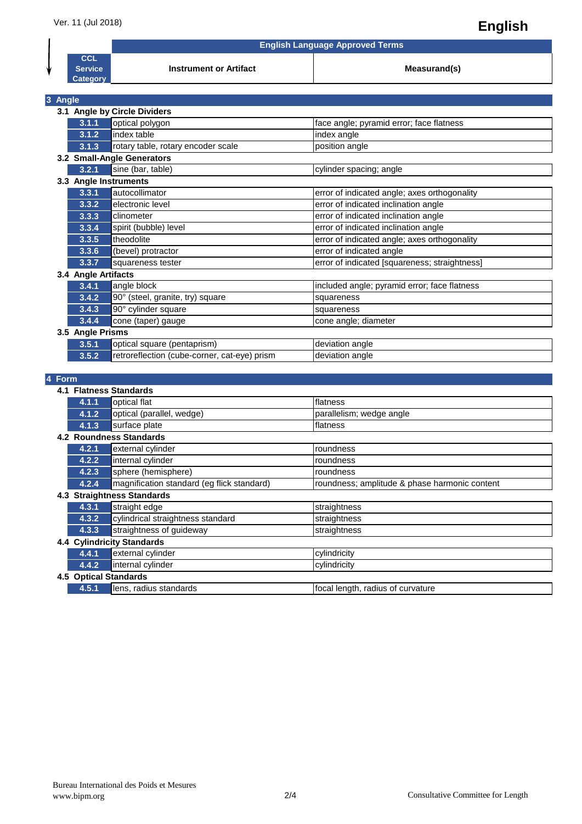**English Language Approved Terms**

**Instrument or Artifact Measurand(s) Measurand(s)** 

| CCL                   |  |
|-----------------------|--|
| Service               |  |
| and an annual service |  |

|         | Category                   |                                              |                                               |  |
|---------|----------------------------|----------------------------------------------|-----------------------------------------------|--|
|         |                            |                                              |                                               |  |
| 3 Angle |                            |                                              |                                               |  |
|         |                            | 3.1 Angle by Circle Dividers                 |                                               |  |
|         | 3.1.1                      | optical polygon                              | face angle; pyramid error; face flatness      |  |
|         | 3.1.2                      | index table                                  | index angle                                   |  |
|         | 3.1.3                      | rotary table, rotary encoder scale           | position angle                                |  |
|         | 3.2 Small-Angle Generators |                                              |                                               |  |
|         | 3.2.1                      | sine (bar, table)                            | cylinder spacing; angle                       |  |
|         | 3.3 Angle Instruments      |                                              |                                               |  |
|         | 3.3.1                      | autocollimator                               | error of indicated angle; axes orthogonality  |  |
|         | 3.3.2                      | electronic level                             | error of indicated inclination angle          |  |
|         | 3.3.3                      | clinometer                                   | error of indicated inclination angle          |  |
|         | 3.3.4                      | spirit (bubble) level                        | error of indicated inclination angle          |  |
|         | 3.3.5                      | theodolite                                   | error of indicated angle; axes orthogonality  |  |
|         | 3.3.6                      | (bevel) protractor                           | error of indicated angle                      |  |
|         | 3.3.7                      | squareness tester                            | error of indicated [squareness; straightness] |  |
|         | 3.4 Angle Artifacts        |                                              |                                               |  |
|         | 3.4.1                      | angle block                                  | included angle; pyramid error; face flatness  |  |
|         | 3.4.2                      | 90° (steel, granite, try) square             | squareness                                    |  |
|         | 3.4.3                      | 90° cylinder square                          | squareness                                    |  |
|         | 3.4.4                      | cone (taper) gauge                           | cone angle; diameter                          |  |
|         | 3.5 Angle Prisms           |                                              |                                               |  |
|         | 3.5.1                      | optical square (pentaprism)                  | deviation angle                               |  |
|         | 3.5.2                      | retroreflection (cube-corner, cat-eye) prism | deviation angle                               |  |

## **4 Form**

|     | 4.1 Flatness Standards            |                                            |                                               |  |
|-----|-----------------------------------|--------------------------------------------|-----------------------------------------------|--|
|     | 4.1.1                             | optical flat                               | flatness                                      |  |
|     | 4.1.2                             | optical (parallel, wedge)                  | parallelism; wedge angle                      |  |
|     | 4.1.3                             | surface plate                              | flatness                                      |  |
|     | 4.2 Roundness Standards           |                                            |                                               |  |
|     | 4.2.1                             | external cylinder                          | roundness                                     |  |
|     | 4.2.2                             | internal cylinder                          | roundness                                     |  |
|     | 4.2.3                             | sphere (hemisphere)                        | roundness                                     |  |
|     | 4.2.4                             | magnification standard (eg flick standard) | roundness; amplitude & phase harmonic content |  |
| 4.3 | <b>Straightness Standards</b>     |                                            |                                               |  |
|     | 4.3.1                             | straight edge                              | straightness                                  |  |
|     | 4.3.2                             | cylindrical straightness standard          | straightness                                  |  |
|     | 4.3.3                             | straightness of guideway                   | straightness                                  |  |
|     | <b>4.4 Cylindricity Standards</b> |                                            |                                               |  |
|     | 4.4.1                             | external cylinder                          | cylindricity                                  |  |
|     | 4.4.2                             | internal cylinder                          | cylindricity                                  |  |
|     | <b>4.5 Optical Standards</b>      |                                            |                                               |  |
|     | 4.5.1                             | lens, radius standards                     | focal length, radius of curvature             |  |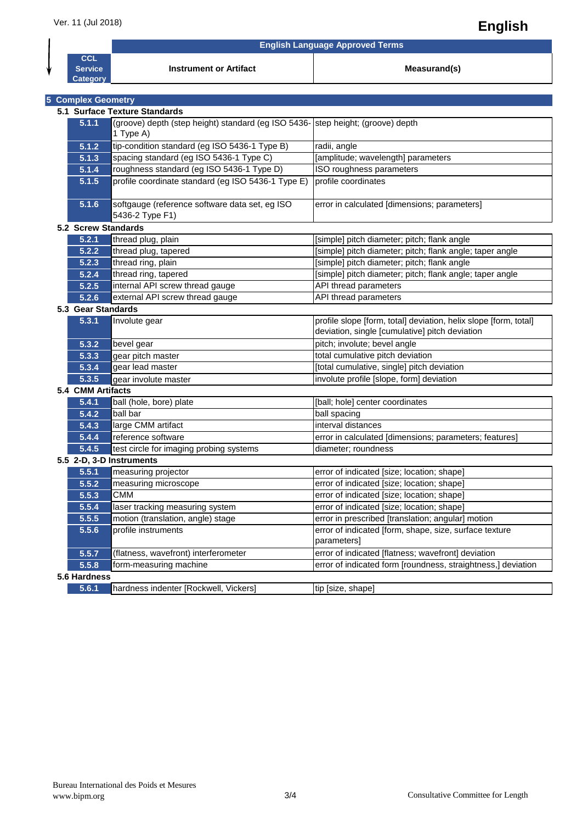## Ver. 11 (Jul 2018) **English**

**English Language Approved Terms**

**Instrument or Artifact Measurand(s) Measurand(s)** 

| CCL             |  |
|-----------------|--|
| <b>Service</b>  |  |
| <b>Category</b> |  |

|                   | <b>5 Complex Geometry</b>     |                                                                                              |                                                                                                                    |  |  |
|-------------------|-------------------------------|----------------------------------------------------------------------------------------------|--------------------------------------------------------------------------------------------------------------------|--|--|
|                   | 5.1 Surface Texture Standards |                                                                                              |                                                                                                                    |  |  |
|                   | 5.1.1                         | (groove) depth (step height) standard (eg ISO 5436- step height; (groove) depth<br>1 Type A) |                                                                                                                    |  |  |
|                   | 5.1.2                         | tip-condition standard (eg ISO 5436-1 Type B)                                                | radii, angle                                                                                                       |  |  |
|                   | 5.1.3                         | spacing standard (eg ISO 5436-1 Type C)                                                      | [amplitude; wavelength] parameters                                                                                 |  |  |
|                   | 5.1.4                         | roughness standard (eg ISO 5436-1 Type D)                                                    | ISO roughness parameters                                                                                           |  |  |
|                   | 5.1.5                         | profile coordinate standard (eg ISO 5436-1 Type E)                                           | profile coordinates                                                                                                |  |  |
|                   | 5.1.6                         | softgauge (reference software data set, eg ISO<br>5436-2 Type F1)                            | error in calculated [dimensions; parameters]                                                                       |  |  |
|                   | 5.2 Screw Standards           |                                                                                              |                                                                                                                    |  |  |
|                   | 5.2.1                         | thread plug, plain                                                                           | [simple] pitch diameter; pitch; flank angle                                                                        |  |  |
|                   | 5.2.2                         | thread plug, tapered                                                                         | [simple] pitch diameter; pitch; flank angle; taper angle                                                           |  |  |
|                   | 5.2.3                         | thread ring, plain                                                                           | [simple] pitch diameter; pitch; flank angle                                                                        |  |  |
|                   | 5.2.4                         | thread ring, tapered                                                                         | [simple] pitch diameter; pitch; flank angle; taper angle                                                           |  |  |
|                   | 5.2.5                         | internal API screw thread gauge                                                              | API thread parameters                                                                                              |  |  |
|                   | 5.2.6                         | external API screw thread gauge                                                              | API thread parameters                                                                                              |  |  |
|                   | 5.3 Gear Standards            |                                                                                              |                                                                                                                    |  |  |
|                   | 5.3.1                         | Involute gear                                                                                | profile slope [form, total] deviation, helix slope [form, total]<br>deviation, single [cumulative] pitch deviation |  |  |
|                   | 5.3.2                         | bevel gear                                                                                   | pitch; involute; bevel angle                                                                                       |  |  |
|                   | 5.3.3                         | gear pitch master                                                                            | total cumulative pitch deviation                                                                                   |  |  |
|                   | 5.3.4                         | gear lead master                                                                             | [total cumulative, single] pitch deviation                                                                         |  |  |
|                   | 5.3.5                         | gear involute master                                                                         | involute profile [slope, form] deviation                                                                           |  |  |
| 5.4 CMM Artifacts |                               |                                                                                              |                                                                                                                    |  |  |
|                   | 5.4.1                         | ball (hole, bore) plate                                                                      | [ball; hole] center coordinates                                                                                    |  |  |
|                   | 5.4.2                         | ball bar                                                                                     | ball spacing                                                                                                       |  |  |
|                   | 5.4.3                         | large CMM artifact                                                                           | interval distances                                                                                                 |  |  |
|                   | 5.4.4                         | reference software                                                                           | error in calculated [dimensions; parameters; features]                                                             |  |  |
|                   | 5.4.5                         | test circle for imaging probing systems                                                      | diameter; roundness                                                                                                |  |  |
|                   |                               | 5.5 2-D, 3-D Instruments                                                                     |                                                                                                                    |  |  |
|                   | 5.5.1                         | measuring projector                                                                          | error of indicated [size; location; shape]                                                                         |  |  |
|                   | 5.5.2                         | measuring microscope                                                                         | error of indicated [size; location; shape]                                                                         |  |  |
|                   | 5.5.3                         | <b>CMM</b>                                                                                   | error of indicated [size; location; shape]                                                                         |  |  |
|                   | 5.5.4                         | laser tracking measuring system                                                              | error of indicated [size; location; shape]                                                                         |  |  |
|                   | 5.5.5                         | motion (translation, angle) stage                                                            | error in prescribed [translation; angular] motion                                                                  |  |  |
|                   | 5.5.6                         | profile instruments                                                                          | error of indicated [form, shape, size, surface texture<br>parameters]                                              |  |  |
|                   | 5.5.7                         | (flatness, wavefront) interferometer                                                         | error of indicated [flatness; wavefront] deviation                                                                 |  |  |
|                   | 5.5.8                         | form-measuring machine                                                                       | error of indicated form [roundness, straightness,] deviation                                                       |  |  |
|                   | 5.6 Hardness                  |                                                                                              |                                                                                                                    |  |  |
|                   | 5.6.1                         | hardness indenter [Rockwell, Vickers]                                                        | tip [size, shape]                                                                                                  |  |  |